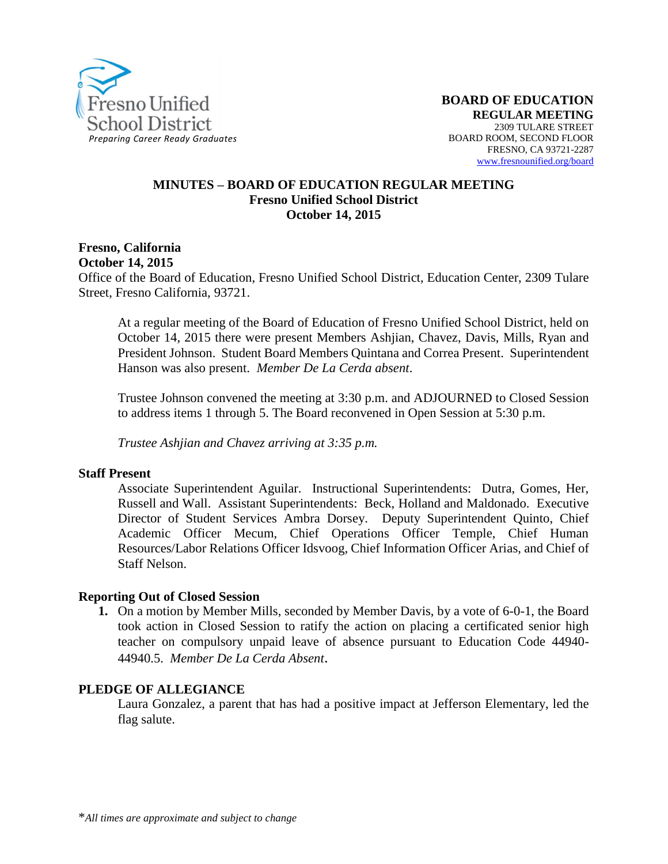

#### **MINUTES – BOARD OF EDUCATION REGULAR MEETING Fresno Unified School District October 14, 2015**

#### **Fresno, California October 14, 2015**

Office of the Board of Education, Fresno Unified School District, Education Center, 2309 Tulare Street, Fresno California, 93721.

At a regular meeting of the Board of Education of Fresno Unified School District, held on October 14, 2015 there were present Members Ashjian, Chavez, Davis, Mills, Ryan and President Johnson. Student Board Members Quintana and Correa Present. Superintendent Hanson was also present. *Member De La Cerda absent*.

Trustee Johnson convened the meeting at 3:30 p.m. and ADJOURNED to Closed Session to address items 1 through 5. The Board reconvened in Open Session at 5:30 p.m.

*Trustee Ashjian and Chavez arriving at 3:35 p.m.*

#### **Staff Present**

Associate Superintendent Aguilar. Instructional Superintendents: Dutra, Gomes, Her, Russell and Wall. Assistant Superintendents: Beck, Holland and Maldonado. Executive Director of Student Services Ambra Dorsey. Deputy Superintendent Quinto, Chief Academic Officer Mecum, Chief Operations Officer Temple, Chief Human Resources/Labor Relations Officer Idsvoog, Chief Information Officer Arias, and Chief of Staff Nelson.

#### **Reporting Out of Closed Session**

**1.** On a motion by Member Mills, seconded by Member Davis, by a vote of 6-0-1, the Board took action in Closed Session to ratify the action on placing a certificated senior high teacher on compulsory unpaid leave of absence pursuant to Education Code 44940- 44940.5. *Member De La Cerda Absent*.

#### **PLEDGE OF ALLEGIANCE**

Laura Gonzalez, a parent that has had a positive impact at Jefferson Elementary, led the flag salute.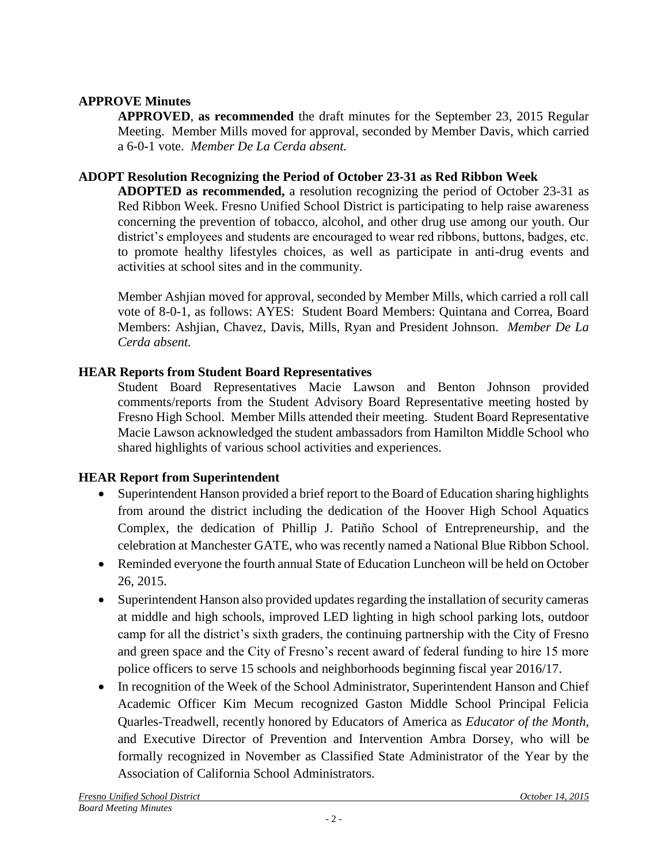# **APPROVE Minutes**

**APPROVED**, **as recommended** the draft minutes for the September 23, 2015 Regular Meeting. Member Mills moved for approval, seconded by Member Davis, which carried a 6-0-1 vote. *Member De La Cerda absent.*

# **ADOPT Resolution Recognizing the Period of October 23-31 as Red Ribbon Week**

**ADOPTED as recommended,** a resolution recognizing the period of October 23-31 as Red Ribbon Week. Fresno Unified School District is participating to help raise awareness concerning the prevention of tobacco, alcohol, and other drug use among our youth. Our district's employees and students are encouraged to wear red ribbons, buttons, badges, etc. to promote healthy lifestyles choices, as well as participate in anti-drug events and activities at school sites and in the community.

Member Ashjian moved for approval, seconded by Member Mills, which carried a roll call vote of 8-0-1, as follows: AYES: Student Board Members: Quintana and Correa, Board Members: Ashjian, Chavez, Davis, Mills, Ryan and President Johnson. *Member De La Cerda absent.*

# **HEAR Reports from Student Board Representatives**

Student Board Representatives Macie Lawson and Benton Johnson provided comments/reports from the Student Advisory Board Representative meeting hosted by Fresno High School. Member Mills attended their meeting. Student Board Representative Macie Lawson acknowledged the student ambassadors from Hamilton Middle School who shared highlights of various school activities and experiences.

# **HEAR Report from Superintendent**

- Superintendent Hanson provided a brief report to the Board of Education sharing highlights from around the district including the dedication of the [Hoover High School Aquatics](https://vimeo.com/141117448)  [Complex,](https://vimeo.com/141117448) the dedication of [Phillip J. Patiño School of Entrepreneurship,](https://vimeo.com/142188862) and the celebration a[t Manchester GATE,](https://vimeo.com/142419330) who was recently named a National Blue Ribbon School.
- Reminded everyone the fourth annual State of Education Luncheon will be held on October 26, 2015.
- Superintendent Hanson also provided updates regarding the installation of security cameras at middle and high schools, improved LED lighting in high school parking lots, outdoor camp for all the district's sixth graders, the continuing partnership with the City of Fresno and green space and the City of Fresno's recent award of federal funding to hire 15 more police officers to serve 15 schools and neighborhoods beginning fiscal year 2016/17.
- In recognition of the Week of the School Administrator, Superintendent Hanson and Chief Academic Officer Kim Mecum recognized Gaston Middle School Principal Felicia Quarles-Treadwell, recently honored by Educators of America as *Educator of the Month*, and Executive Director of Prevention and Intervention Ambra Dorsey, who will be formally recognized in November as Classified State Administrator of the Year by the Association of California School Administrators.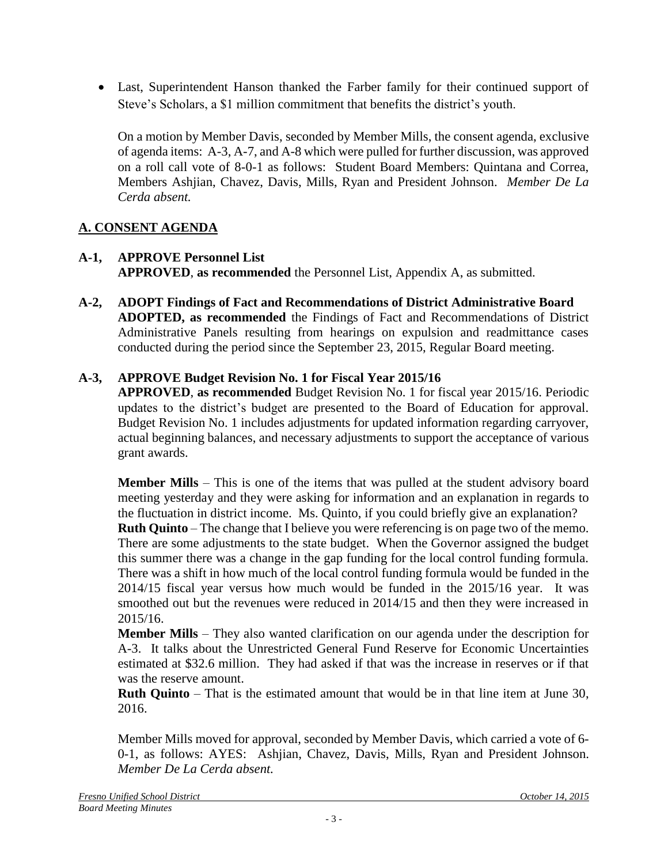Last, Superintendent Hanson thanked the Farber family for their continued support of Steve's Scholars, a \$1 million commitment that benefits the district's youth.

On a motion by Member Davis, seconded by Member Mills, the consent agenda, exclusive of agenda items: A-3, A-7, and A-8 which were pulled for further discussion, was approved on a roll call vote of 8-0-1 as follows: Student Board Members: Quintana and Correa, Members Ashjian, Chavez, Davis, Mills, Ryan and President Johnson. *Member De La Cerda absent.*

# **A. CONSENT AGENDA**

- **A-1, APPROVE Personnel List APPROVED**, **as recommended** the Personnel List, Appendix A, as submitted.
- **A-2, ADOPT Findings of Fact and Recommendations of District Administrative Board ADOPTED, as recommended** the Findings of Fact and Recommendations of District Administrative Panels resulting from hearings on expulsion and readmittance cases conducted during the period since the September 23, 2015, Regular Board meeting.

# **A-3, APPROVE Budget Revision No. 1 for Fiscal Year 2015/16**

**APPROVED**, **as recommended** Budget Revision No. 1 for fiscal year 2015/16. Periodic updates to the district's budget are presented to the Board of Education for approval. Budget Revision No. 1 includes adjustments for updated information regarding carryover, actual beginning balances, and necessary adjustments to support the acceptance of various grant awards.

**Member Mills** – This is one of the items that was pulled at the student advisory board meeting yesterday and they were asking for information and an explanation in regards to the fluctuation in district income. Ms. Quinto, if you could briefly give an explanation?

**Ruth Quinto** – The change that I believe you were referencing is on page two of the memo. There are some adjustments to the state budget. When the Governor assigned the budget this summer there was a change in the gap funding for the local control funding formula. There was a shift in how much of the local control funding formula would be funded in the 2014/15 fiscal year versus how much would be funded in the 2015/16 year. It was smoothed out but the revenues were reduced in 2014/15 and then they were increased in 2015/16.

**Member Mills** – They also wanted clarification on our agenda under the description for A-3. It talks about the Unrestricted General Fund Reserve for Economic Uncertainties estimated at \$32.6 million. They had asked if that was the increase in reserves or if that was the reserve amount.

**Ruth Quinto** – That is the estimated amount that would be in that line item at June 30, 2016.

Member Mills moved for approval, seconded by Member Davis, which carried a vote of 6- 0-1, as follows: AYES: Ashjian, Chavez, Davis, Mills, Ryan and President Johnson. *Member De La Cerda absent.*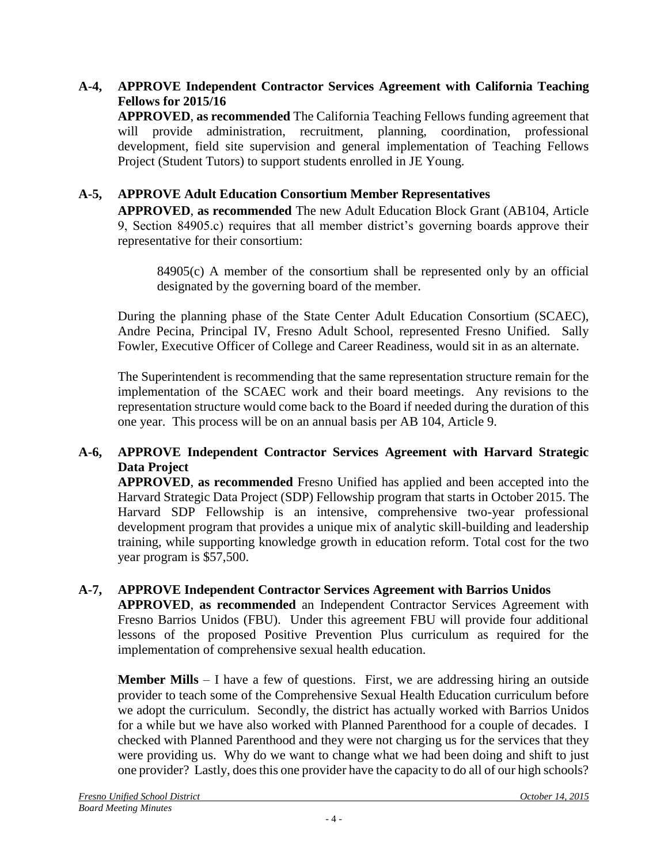# **A-4, APPROVE Independent Contractor Services Agreement with California Teaching Fellows for 2015/16**

**APPROVED**, **as recommended** The California Teaching Fellows funding agreement that will provide administration, recruitment, planning, coordination, professional development, field site supervision and general implementation of Teaching Fellows Project (Student Tutors) to support students enrolled in JE Young.

# **A-5, APPROVE Adult Education Consortium Member Representatives**

**APPROVED**, **as recommended** The new Adult Education Block Grant (AB104, Article 9, Section 84905.c) requires that all member district's governing boards approve their representative for their consortium:

84905(c) A member of the consortium shall be represented only by an official designated by the governing board of the member.

During the planning phase of the State Center Adult Education Consortium (SCAEC), Andre Pecina, Principal IV, Fresno Adult School, represented Fresno Unified. Sally Fowler, Executive Officer of College and Career Readiness, would sit in as an alternate.

The Superintendent is recommending that the same representation structure remain for the implementation of the SCAEC work and their board meetings. Any revisions to the representation structure would come back to the Board if needed during the duration of this one year. This process will be on an annual basis per AB 104, Article 9.

## **A-6, APPROVE Independent Contractor Services Agreement with Harvard Strategic Data Project**

**APPROVED**, **as recommended** Fresno Unified has applied and been accepted into the Harvard Strategic Data Project (SDP) Fellowship program that starts in October 2015. The Harvard SDP Fellowship is an intensive, comprehensive two-year professional development program that provides a unique mix of analytic skill-building and leadership training, while supporting knowledge growth in education reform. Total cost for the two year program is \$57,500.

## **A-7, APPROVE Independent Contractor Services Agreement with Barrios Unidos**

**APPROVED**, **as recommended** an Independent Contractor Services Agreement with Fresno Barrios Unidos (FBU). Under this agreement FBU will provide four additional lessons of the proposed Positive Prevention Plus curriculum as required for the implementation of comprehensive sexual health education.

**Member Mills** – I have a few of questions. First, we are addressing hiring an outside provider to teach some of the Comprehensive Sexual Health Education curriculum before we adopt the curriculum. Secondly, the district has actually worked with Barrios Unidos for a while but we have also worked with Planned Parenthood for a couple of decades. I checked with Planned Parenthood and they were not charging us for the services that they were providing us. Why do we want to change what we had been doing and shift to just one provider? Lastly, does this one provider have the capacity to do all of our high schools?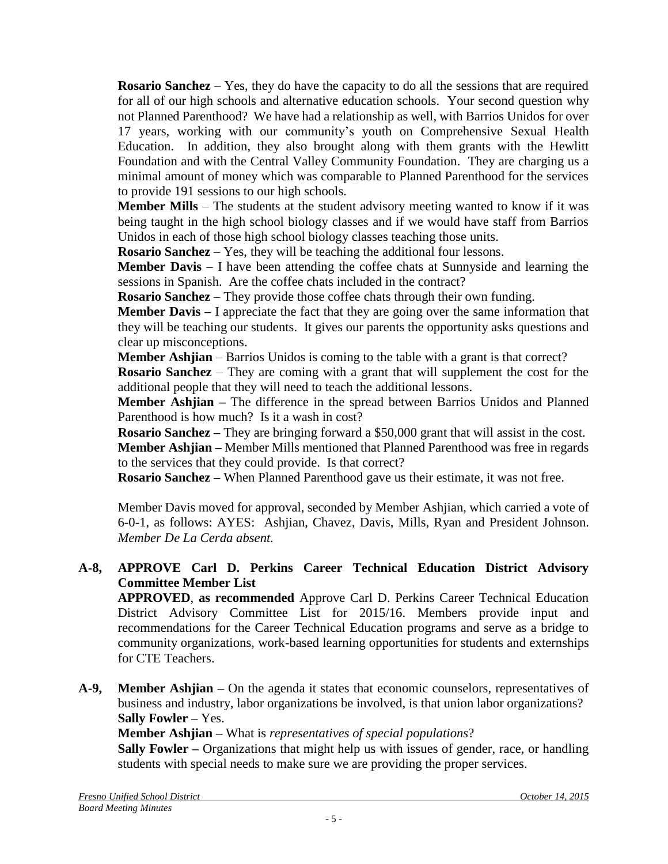**Rosario Sanchez** – Yes, they do have the capacity to do all the sessions that are required for all of our high schools and alternative education schools. Your second question why not Planned Parenthood? We have had a relationship as well, with Barrios Unidos for over 17 years, working with our community's youth on Comprehensive Sexual Health Education. In addition, they also brought along with them grants with the Hewlitt Foundation and with the Central Valley Community Foundation. They are charging us a minimal amount of money which was comparable to Planned Parenthood for the services to provide 191 sessions to our high schools.

**Member Mills** – The students at the student advisory meeting wanted to know if it was being taught in the high school biology classes and if we would have staff from Barrios Unidos in each of those high school biology classes teaching those units.

**Rosario Sanchez** – Yes, they will be teaching the additional four lessons.

**Member Davis** – I have been attending the coffee chats at Sunnyside and learning the sessions in Spanish. Are the coffee chats included in the contract?

**Rosario Sanchez** – They provide those coffee chats through their own funding.

**Member Davis –** I appreciate the fact that they are going over the same information that they will be teaching our students.It gives our parents the opportunity asks questions and clear up misconceptions.

**Member Ashjian** – Barrios Unidos is coming to the table with a grant is that correct?

**Rosario Sanchez** – They are coming with a grant that will supplement the cost for the additional people that they will need to teach the additional lessons.

**Member Ashjian –** The difference in the spread between Barrios Unidos and Planned Parenthood is how much? Is it a wash in cost?

**Rosario Sanchez –** They are bringing forward a \$50,000 grant that will assist in the cost.

**Member Ashjian –** Member Mills mentioned that Planned Parenthood was free in regards to the services that they could provide. Is that correct?

**Rosario Sanchez –** When Planned Parenthood gave us their estimate, it was not free.

Member Davis moved for approval, seconded by Member Ashjian, which carried a vote of 6-0-1, as follows: AYES: Ashjian, Chavez, Davis, Mills, Ryan and President Johnson. *Member De La Cerda absent.*

#### **A-8, APPROVE Carl D. Perkins Career Technical Education District Advisory Committee Member List**

**APPROVED**, **as recommended** Approve Carl D. Perkins Career Technical Education District Advisory Committee List for 2015/16. Members provide input and recommendations for the Career Technical Education programs and serve as a bridge to community organizations, work-based learning opportunities for students and externships for CTE Teachers.

**A-9, Member Ashjian –** On the agenda it states that economic counselors, representatives of business and industry, labor organizations be involved, is that union labor organizations? **Sally Fowler –** Yes.

**Member Ashjian –** What is *representatives of special populations*?

**Sally Fowler –** Organizations that might help us with issues of gender, race, or handling students with special needs to make sure we are providing the proper services.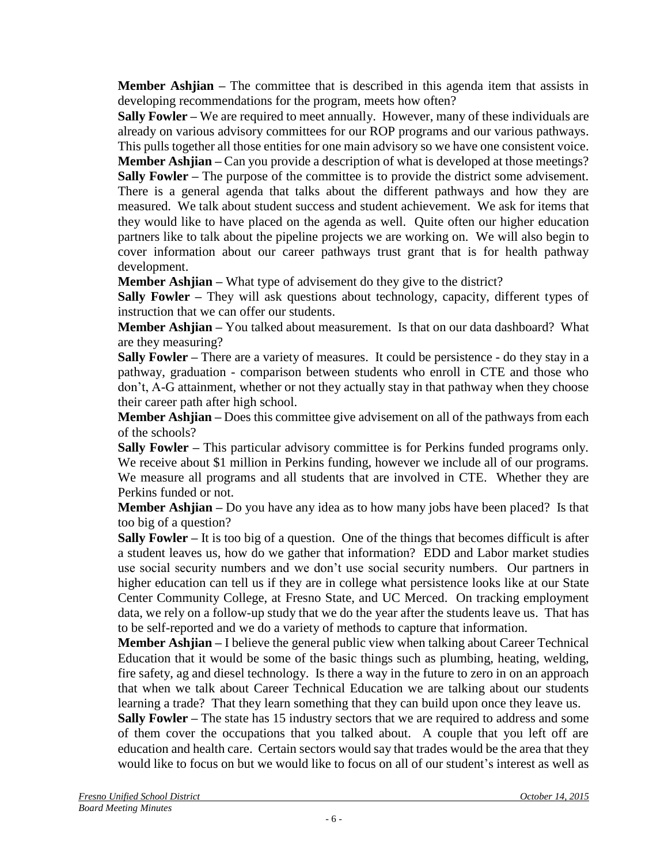**Member Ashijan** – The committee that is described in this agenda item that assists in developing recommendations for the program, meets how often?

**Sally Fowler –** We are required to meet annually. However, many of these individuals are already on various advisory committees for our ROP programs and our various pathways. This pulls together all those entities for one main advisory so we have one consistent voice.

**Member Ashjian** – Can you provide a description of what is developed at those meetings? **Sally Fowler –** The purpose of the committee is to provide the district some advisement. There is a general agenda that talks about the different pathways and how they are measured. We talk about student success and student achievement. We ask for items that they would like to have placed on the agenda as well. Quite often our higher education partners like to talk about the pipeline projects we are working on. We will also begin to cover information about our career pathways trust grant that is for health pathway development.

**Member Ashjian –** What type of advisement do they give to the district?

**Sally Fowler –** They will ask questions about technology, capacity, different types of instruction that we can offer our students.

**Member Ashjian –** You talked about measurement. Is that on our data dashboard? What are they measuring?

**Sally Fowler –** There are a variety of measures. It could be persistence - do they stay in a pathway, graduation - comparison between students who enroll in CTE and those who don't, A-G attainment, whether or not they actually stay in that pathway when they choose their career path after high school.

**Member Ashijan** – Does this committee give advisement on all of the pathways from each of the schools?

**Sally Fowler –** This particular advisory committee is for Perkins funded programs only. We receive about \$1 million in Perkins funding, however we include all of our programs. We measure all programs and all students that are involved in CTE. Whether they are Perkins funded or not.

**Member Ashjian –** Do you have any idea as to how many jobs have been placed? Is that too big of a question?

**Sally Fowler –** It is too big of a question. One of the things that becomes difficult is after a student leaves us, how do we gather that information? EDD and Labor market studies use social security numbers and we don't use social security numbers. Our partners in higher education can tell us if they are in college what persistence looks like at our State Center Community College, at Fresno State, and UC Merced. On tracking employment data, we rely on a follow-up study that we do the year after the students leave us. That has to be self-reported and we do a variety of methods to capture that information.

**Member Ashjian** – I believe the general public view when talking about Career Technical Education that it would be some of the basic things such as plumbing, heating, welding, fire safety, ag and diesel technology. Is there a way in the future to zero in on an approach that when we talk about Career Technical Education we are talking about our students learning a trade? That they learn something that they can build upon once they leave us.

**Sally Fowler** – The state has 15 industry sectors that we are required to address and some of them cover the occupations that you talked about. A couple that you left off are education and health care. Certain sectors would say that trades would be the area that they would like to focus on but we would like to focus on all of our student's interest as well as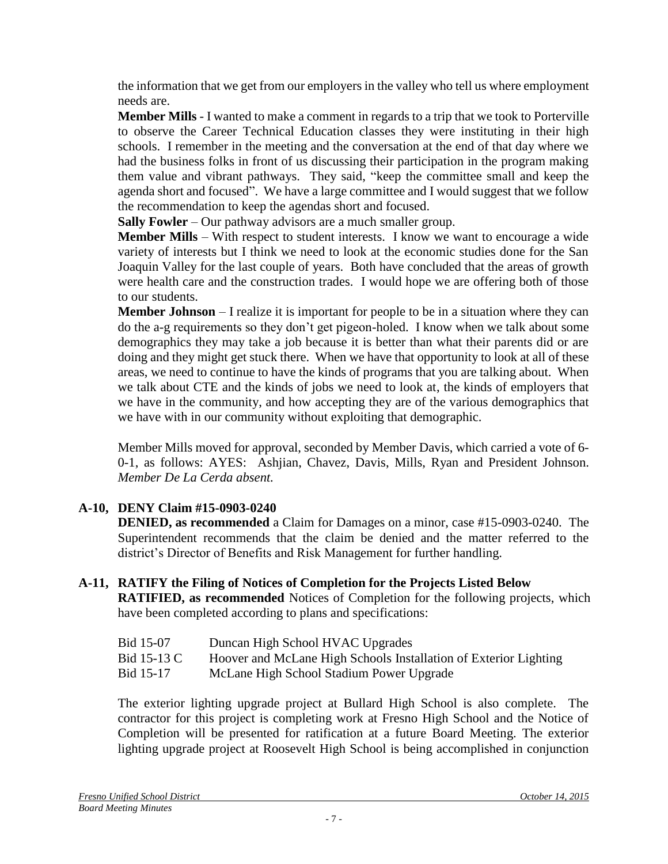the information that we get from our employers in the valley who tell us where employment needs are.

**Member Mills** - I wanted to make a comment in regards to a trip that we took to Porterville to observe the Career Technical Education classes they were instituting in their high schools. I remember in the meeting and the conversation at the end of that day where we had the business folks in front of us discussing their participation in the program making them value and vibrant pathways. They said, "keep the committee small and keep the agenda short and focused". We have a large committee and I would suggest that we follow the recommendation to keep the agendas short and focused.

**Sally Fowler** – Our pathway advisors are a much smaller group.

**Member Mills** – With respect to student interests. I know we want to encourage a wide variety of interests but I think we need to look at the economic studies done for the San Joaquin Valley for the last couple of years. Both have concluded that the areas of growth were health care and the construction trades. I would hope we are offering both of those to our students.

**Member Johnson** – I realize it is important for people to be in a situation where they can do the a-g requirements so they don't get pigeon-holed. I know when we talk about some demographics they may take a job because it is better than what their parents did or are doing and they might get stuck there. When we have that opportunity to look at all of these areas, we need to continue to have the kinds of programs that you are talking about. When we talk about CTE and the kinds of jobs we need to look at, the kinds of employers that we have in the community, and how accepting they are of the various demographics that we have with in our community without exploiting that demographic.

Member Mills moved for approval, seconded by Member Davis, which carried a vote of 6- 0-1, as follows: AYES: Ashjian, Chavez, Davis, Mills, Ryan and President Johnson. *Member De La Cerda absent.*

# **A-10, DENY Claim #15-0903-0240**

**DENIED, as recommended** a Claim for Damages on a minor, case #15-0903-0240. The Superintendent recommends that the claim be denied and the matter referred to the district's Director of Benefits and Risk Management for further handling.

# **A-11, RATIFY the Filing of Notices of Completion for the Projects Listed Below**

**RATIFIED, as recommended** Notices of Completion for the following projects, which have been completed according to plans and specifications:

| Bid 15-07 | Duncan High School HVAC Upgrades |  |
|-----------|----------------------------------|--|
|-----------|----------------------------------|--|

- Bid 15-13 C Hoover and McLane High Schools Installation of Exterior Lighting
- Bid 15-17 McLane High School Stadium Power Upgrade

The exterior lighting upgrade project at Bullard High School is also complete. The contractor for this project is completing work at Fresno High School and the Notice of Completion will be presented for ratification at a future Board Meeting. The exterior lighting upgrade project at Roosevelt High School is being accomplished in conjunction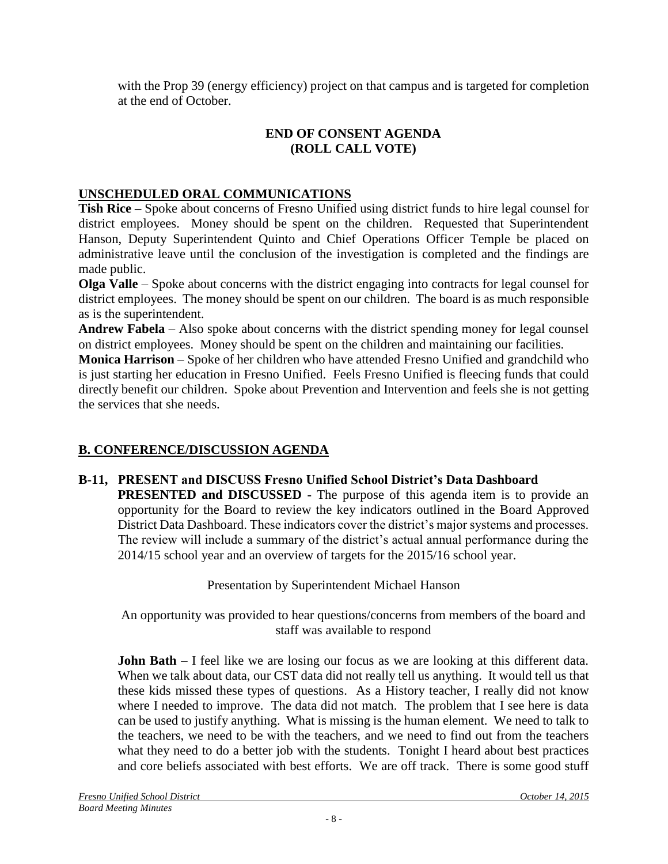with the Prop 39 (energy efficiency) project on that campus and is targeted for completion at the end of October.

# **END OF CONSENT AGENDA (ROLL CALL VOTE)**

# **UNSCHEDULED ORAL COMMUNICATIONS**

**Tish Rice –** Spoke about concerns of Fresno Unified using district funds to hire legal counsel for district employees. Money should be spent on the children. Requested that Superintendent Hanson, Deputy Superintendent Quinto and Chief Operations Officer Temple be placed on administrative leave until the conclusion of the investigation is completed and the findings are made public.

**Olga Valle** – Spoke about concerns with the district engaging into contracts for legal counsel for district employees. The money should be spent on our children. The board is as much responsible as is the superintendent.

**Andrew Fabela** – Also spoke about concerns with the district spending money for legal counsel on district employees. Money should be spent on the children and maintaining our facilities.

**Monica Harrison** – Spoke of her children who have attended Fresno Unified and grandchild who is just starting her education in Fresno Unified. Feels Fresno Unified is fleecing funds that could directly benefit our children. Spoke about Prevention and Intervention and feels she is not getting the services that she needs.

# **B. CONFERENCE/DISCUSSION AGENDA**

# **B-11, PRESENT and DISCUSS Fresno Unified School District's Data Dashboard**

**PRESENTED and DISCUSSED** - The purpose of this agenda item is to provide an opportunity for the Board to review the key indicators outlined in the Board Approved District Data Dashboard. These indicators cover the district's major systems and processes. The review will include a summary of the district's actual annual performance during the 2014/15 school year and an overview of targets for the 2015/16 school year.

Presentation by Superintendent Michael Hanson

An opportunity was provided to hear questions/concerns from members of the board and staff was available to respond

**John Bath** – I feel like we are losing our focus as we are looking at this different data. When we talk about data, our CST data did not really tell us anything. It would tell us that these kids missed these types of questions. As a History teacher, I really did not know where I needed to improve. The data did not match. The problem that I see here is data can be used to justify anything. What is missing is the human element. We need to talk to the teachers, we need to be with the teachers, and we need to find out from the teachers what they need to do a better job with the students. Tonight I heard about best practices and core beliefs associated with best efforts. We are off track. There is some good stuff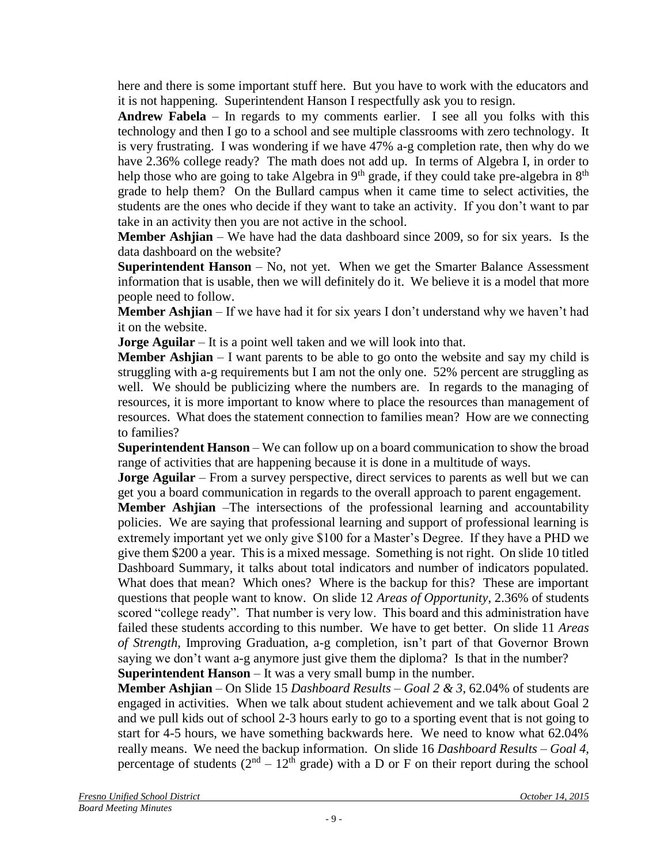here and there is some important stuff here. But you have to work with the educators and it is not happening. Superintendent Hanson I respectfully ask you to resign.

**Andrew Fabela** – In regards to my comments earlier. I see all you folks with this technology and then I go to a school and see multiple classrooms with zero technology. It is very frustrating. I was wondering if we have 47% a-g completion rate, then why do we have 2.36% college ready? The math does not add up. In terms of Algebra I, in order to help those who are going to take Algebra in  $9<sup>th</sup>$  grade, if they could take pre-algebra in  $8<sup>th</sup>$ grade to help them? On the Bullard campus when it came time to select activities, the students are the ones who decide if they want to take an activity. If you don't want to par take in an activity then you are not active in the school.

**Member Ashijan** – We have had the data dashboard since 2009, so for six years. Is the data dashboard on the website?

**Superintendent Hanson** – No, not yet. When we get the Smarter Balance Assessment information that is usable, then we will definitely do it. We believe it is a model that more people need to follow.

**Member Ashjian** – If we have had it for six years I don't understand why we haven't had it on the website.

**Jorge Aguilar** – It is a point well taken and we will look into that.

**Member Ashjian**  $-1$  want parents to be able to go onto the website and say my child is struggling with a-g requirements but I am not the only one. 52% percent are struggling as well. We should be publicizing where the numbers are. In regards to the managing of resources, it is more important to know where to place the resources than management of resources. What does the statement connection to families mean? How are we connecting to families?

**Superintendent Hanson** – We can follow up on a board communication to show the broad range of activities that are happening because it is done in a multitude of ways.

**Jorge Aguilar** – From a survey perspective, direct services to parents as well but we can get you a board communication in regards to the overall approach to parent engagement.

**Member Ashjian** –The intersections of the professional learning and accountability policies. We are saying that professional learning and support of professional learning is extremely important yet we only give \$100 for a Master's Degree. If they have a PHD we give them \$200 a year. This is a mixed message. Something is not right. On slide 10 titled Dashboard Summary, it talks about total indicators and number of indicators populated. What does that mean? Which ones? Where is the backup for this? These are important questions that people want to know. On slide 12 *Areas of Opportunity*, 2.36% of students scored "college ready". That number is very low. This board and this administration have failed these students according to this number. We have to get better. On slide 11 *Areas of Strength*, Improving Graduation, a-g completion, isn't part of that Governor Brown saying we don't want a-g anymore just give them the diploma? Is that in the number? **Superintendent Hanson** – It was a very small bump in the number.

**Member Ashjian** – On Slide 15 *Dashboard Results – Goal 2 & 3*, 62.04% of students are engaged in activities. When we talk about student achievement and we talk about Goal 2 and we pull kids out of school 2-3 hours early to go to a sporting event that is not going to start for 4-5 hours, we have something backwards here. We need to know what 62.04% really means. We need the backup information. On slide 16 *Dashboard Results – Goal 4,*  percentage of students  $(2<sup>nd</sup> - 12<sup>th</sup>$  grade) with a D or F on their report during the school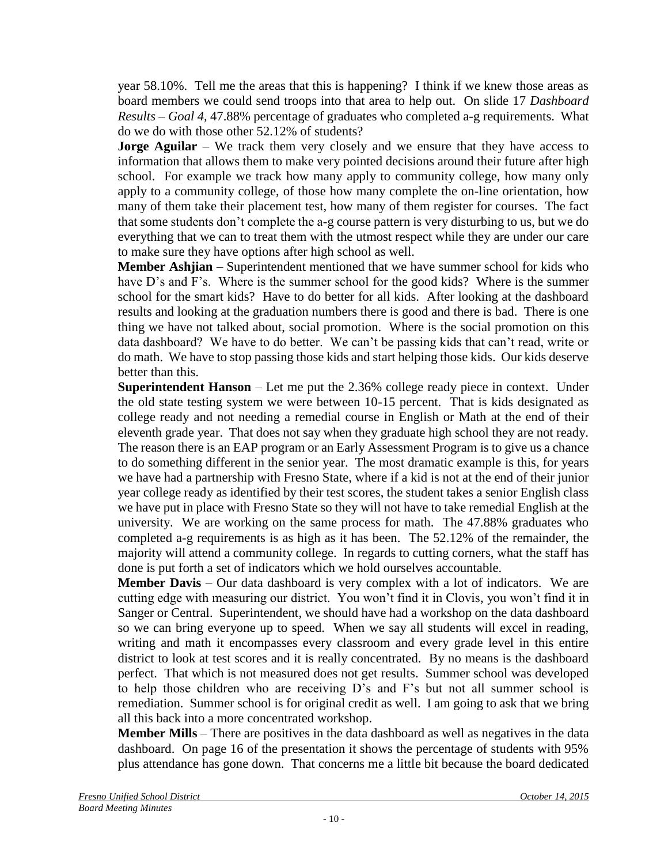year 58.10%. Tell me the areas that this is happening? I think if we knew those areas as board members we could send troops into that area to help out. On slide 17 *Dashboard Results – Goal 4,* 47.88% percentage of graduates who completed a-g requirements. What do we do with those other 52.12% of students?

**Jorge Aguilar** – We track them very closely and we ensure that they have access to information that allows them to make very pointed decisions around their future after high school. For example we track how many apply to community college, how many only apply to a community college, of those how many complete the on-line orientation, how many of them take their placement test, how many of them register for courses. The fact that some students don't complete the a-g course pattern is very disturbing to us, but we do everything that we can to treat them with the utmost respect while they are under our care to make sure they have options after high school as well.

**Member Ashjian** – Superintendent mentioned that we have summer school for kids who have D's and F's. Where is the summer school for the good kids? Where is the summer school for the smart kids? Have to do better for all kids. After looking at the dashboard results and looking at the graduation numbers there is good and there is bad. There is one thing we have not talked about, social promotion. Where is the social promotion on this data dashboard? We have to do better. We can't be passing kids that can't read, write or do math. We have to stop passing those kids and start helping those kids. Our kids deserve better than this.

**Superintendent Hanson** – Let me put the 2.36% college ready piece in context. Under the old state testing system we were between 10-15 percent. That is kids designated as college ready and not needing a remedial course in English or Math at the end of their eleventh grade year. That does not say when they graduate high school they are not ready. The reason there is an EAP program or an Early Assessment Program is to give us a chance to do something different in the senior year. The most dramatic example is this, for years we have had a partnership with Fresno State, where if a kid is not at the end of their junior year college ready as identified by their test scores, the student takes a senior English class we have put in place with Fresno State so they will not have to take remedial English at the university. We are working on the same process for math. The 47.88% graduates who completed a-g requirements is as high as it has been. The 52.12% of the remainder, the majority will attend a community college. In regards to cutting corners, what the staff has done is put forth a set of indicators which we hold ourselves accountable.

**Member Davis** – Our data dashboard is very complex with a lot of indicators. We are cutting edge with measuring our district. You won't find it in Clovis, you won't find it in Sanger or Central. Superintendent, we should have had a workshop on the data dashboard so we can bring everyone up to speed. When we say all students will excel in reading, writing and math it encompasses every classroom and every grade level in this entire district to look at test scores and it is really concentrated. By no means is the dashboard perfect. That which is not measured does not get results. Summer school was developed to help those children who are receiving D's and F's but not all summer school is remediation. Summer school is for original credit as well. I am going to ask that we bring all this back into a more concentrated workshop.

**Member Mills** – There are positives in the data dashboard as well as negatives in the data dashboard. On page 16 of the presentation it shows the percentage of students with 95% plus attendance has gone down. That concerns me a little bit because the board dedicated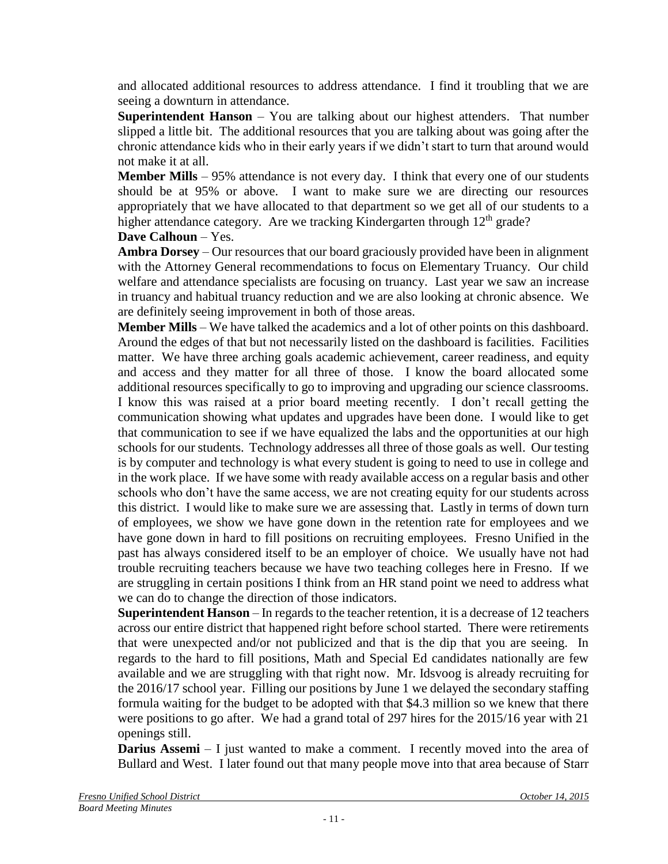and allocated additional resources to address attendance. I find it troubling that we are seeing a downturn in attendance.

**Superintendent Hanson** – You are talking about our highest attenders. That number slipped a little bit. The additional resources that you are talking about was going after the chronic attendance kids who in their early years if we didn't start to turn that around would not make it at all.

**Member Mills** – 95% attendance is not every day. I think that every one of our students should be at 95% or above. I want to make sure we are directing our resources appropriately that we have allocated to that department so we get all of our students to a higher attendance category. Are we tracking Kindergarten through  $12<sup>th</sup>$  grade?

**Dave Calhoun** – Yes.

**Ambra Dorsey** – Our resources that our board graciously provided have been in alignment with the Attorney General recommendations to focus on Elementary Truancy. Our child welfare and attendance specialists are focusing on truancy. Last year we saw an increase in truancy and habitual truancy reduction and we are also looking at chronic absence. We are definitely seeing improvement in both of those areas.

**Member Mills** – We have talked the academics and a lot of other points on this dashboard. Around the edges of that but not necessarily listed on the dashboard is facilities. Facilities matter. We have three arching goals academic achievement, career readiness, and equity and access and they matter for all three of those. I know the board allocated some additional resources specifically to go to improving and upgrading our science classrooms. I know this was raised at a prior board meeting recently. I don't recall getting the communication showing what updates and upgrades have been done. I would like to get that communication to see if we have equalized the labs and the opportunities at our high schools for our students. Technology addresses all three of those goals as well. Our testing is by computer and technology is what every student is going to need to use in college and in the work place. If we have some with ready available access on a regular basis and other schools who don't have the same access, we are not creating equity for our students across this district. I would like to make sure we are assessing that. Lastly in terms of down turn of employees, we show we have gone down in the retention rate for employees and we have gone down in hard to fill positions on recruiting employees. Fresno Unified in the past has always considered itself to be an employer of choice. We usually have not had trouble recruiting teachers because we have two teaching colleges here in Fresno. If we are struggling in certain positions I think from an HR stand point we need to address what we can do to change the direction of those indicators.

**Superintendent Hanson** – In regards to the teacher retention, it is a decrease of 12 teachers across our entire district that happened right before school started. There were retirements that were unexpected and/or not publicized and that is the dip that you are seeing. In regards to the hard to fill positions, Math and Special Ed candidates nationally are few available and we are struggling with that right now. Mr. Idsvoog is already recruiting for the 2016/17 school year. Filling our positions by June 1 we delayed the secondary staffing formula waiting for the budget to be adopted with that \$4.3 million so we knew that there were positions to go after. We had a grand total of 297 hires for the 2015/16 year with 21 openings still.

**Darius Assemi** – I just wanted to make a comment. I recently moved into the area of Bullard and West. I later found out that many people move into that area because of Starr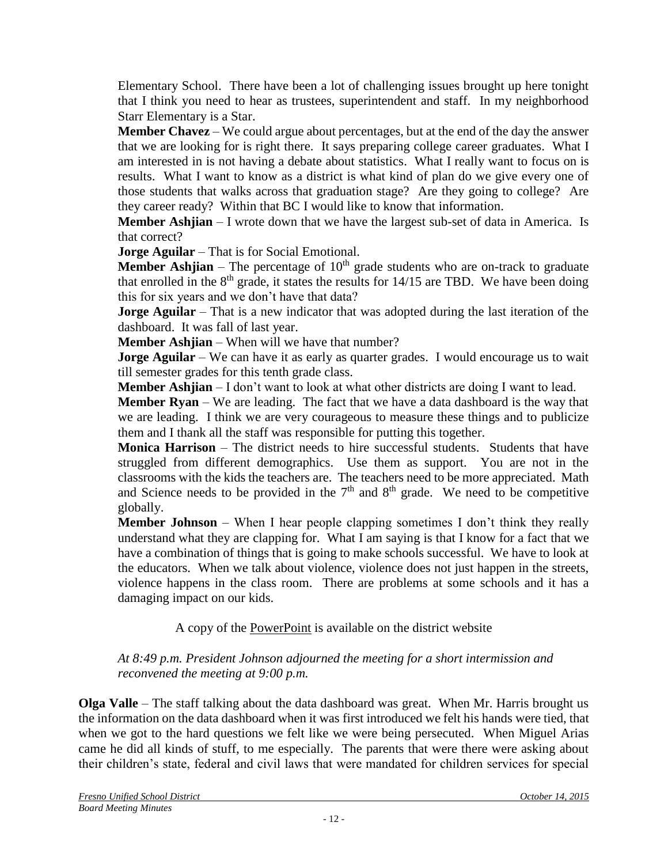Elementary School. There have been a lot of challenging issues brought up here tonight that I think you need to hear as trustees, superintendent and staff. In my neighborhood Starr Elementary is a Star.

**Member Chavez** – We could argue about percentages, but at the end of the day the answer that we are looking for is right there. It says preparing college career graduates. What I am interested in is not having a debate about statistics. What I really want to focus on is results. What I want to know as a district is what kind of plan do we give every one of those students that walks across that graduation stage? Are they going to college? Are they career ready? Within that BC I would like to know that information.

**Member Ashjian** – I wrote down that we have the largest sub-set of data in America. Is that correct?

**Jorge Aguilar** – That is for Social Emotional.

**Member Ashjian** – The percentage of  $10<sup>th</sup>$  grade students who are on-track to graduate that enrolled in the  $8<sup>th</sup>$  grade, it states the results for 14/15 are TBD. We have been doing this for six years and we don't have that data?

**Jorge Aguilar** – That is a new indicator that was adopted during the last iteration of the dashboard. It was fall of last year.

**Member Ashjian** – When will we have that number?

**Jorge Aguilar** – We can have it as early as quarter grades. I would encourage us to wait till semester grades for this tenth grade class.

**Member Ashjian** – I don't want to look at what other districts are doing I want to lead.

**Member Ryan** – We are leading. The fact that we have a data dashboard is the way that we are leading. I think we are very courageous to measure these things and to publicize them and I thank all the staff was responsible for putting this together.

**Monica Harrison** – The district needs to hire successful students. Students that have struggled from different demographics. Use them as support. You are not in the classrooms with the kids the teachers are. The teachers need to be more appreciated. Math and Science needs to be provided in the  $7<sup>th</sup>$  and  $8<sup>th</sup>$  grade. We need to be competitive globally.

**Member Johnson** – When I hear people clapping sometimes I don't think they really understand what they are clapping for. What I am saying is that I know for a fact that we have a combination of things that is going to make schools successful. We have to look at the educators. When we talk about violence, violence does not just happen in the streets, violence happens in the class room. There are problems at some schools and it has a damaging impact on our kids.

A copy of the [PowerPoint](file:///C:/Users/lmmolan/AppData/Local/Desktop/BOARD%20DOCUMENTS/Presentations%20for%20Website/B20131211-Board-Presentation-B-12.pdf) is available on the district website

#### *At 8:49 p.m. President Johnson adjourned the meeting for a short intermission and reconvened the meeting at 9:00 p.m.*

**Olga Valle** – The staff talking about the data dashboard was great. When Mr. Harris brought us the information on the data dashboard when it was first introduced we felt his hands were tied, that when we got to the hard questions we felt like we were being persecuted. When Miguel Arias came he did all kinds of stuff, to me especially. The parents that were there were asking about their children's state, federal and civil laws that were mandated for children services for special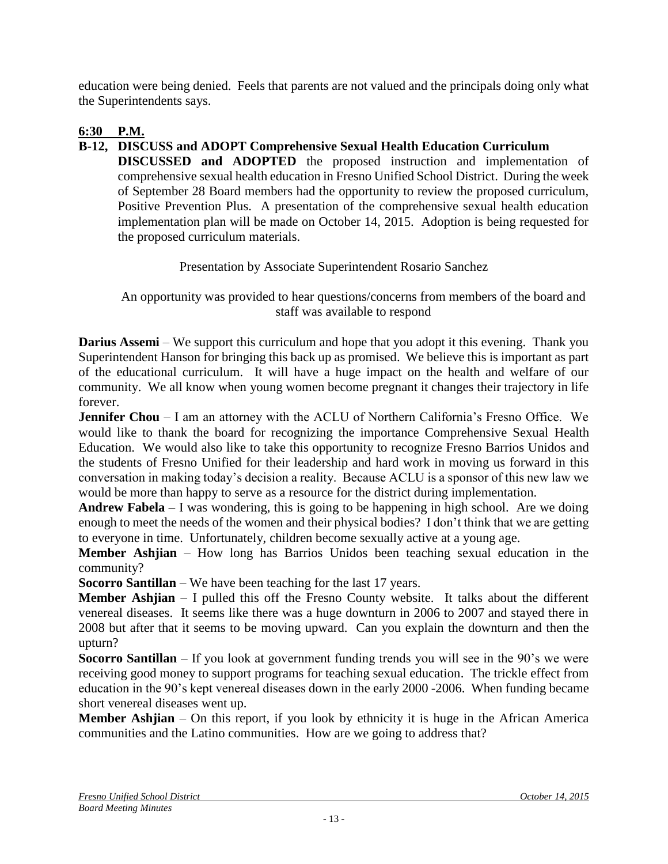education were being denied. Feels that parents are not valued and the principals doing only what the Superintendents says.

# **6:30 P.M.**

# **B-12, DISCUSS and ADOPT Comprehensive Sexual Health Education Curriculum**

**DISCUSSED and ADOPTED** the proposed instruction and implementation of comprehensive sexual health education in Fresno Unified School District. During the week of September 28 Board members had the opportunity to review the proposed curriculum, Positive Prevention Plus. A presentation of the comprehensive sexual health education implementation plan will be made on October 14, 2015. Adoption is being requested for the proposed curriculum materials.

Presentation by Associate Superintendent Rosario Sanchez

An opportunity was provided to hear questions/concerns from members of the board and staff was available to respond

**Darius Assemi** – We support this curriculum and hope that you adopt it this evening. Thank you Superintendent Hanson for bringing this back up as promised. We believe this is important as part of the educational curriculum. It will have a huge impact on the health and welfare of our community. We all know when young women become pregnant it changes their trajectory in life forever.

**Jennifer Chou** – I am an attorney with the ACLU of Northern California's Fresno Office. We would like to thank the board for recognizing the importance Comprehensive Sexual Health Education. We would also like to take this opportunity to recognize Fresno Barrios Unidos and the students of Fresno Unified for their leadership and hard work in moving us forward in this conversation in making today's decision a reality. Because ACLU is a sponsor of this new law we would be more than happy to serve as a resource for the district during implementation.

**Andrew Fabela** – I was wondering, this is going to be happening in high school. Are we doing enough to meet the needs of the women and their physical bodies? I don't think that we are getting to everyone in time. Unfortunately, children become sexually active at a young age.

**Member Ashjian** – How long has Barrios Unidos been teaching sexual education in the community?

**Socorro Santillan** – We have been teaching for the last 17 years.

**Member Ashjian** – I pulled this off the Fresno County website. It talks about the different venereal diseases. It seems like there was a huge downturn in 2006 to 2007 and stayed there in 2008 but after that it seems to be moving upward. Can you explain the downturn and then the upturn?

**Socorro Santillan** – If you look at government funding trends you will see in the 90's we were receiving good money to support programs for teaching sexual education. The trickle effect from education in the 90's kept venereal diseases down in the early 2000 -2006. When funding became short venereal diseases went up.

**Member Ashjian** – On this report, if you look by ethnicity it is huge in the African America communities and the Latino communities. How are we going to address that?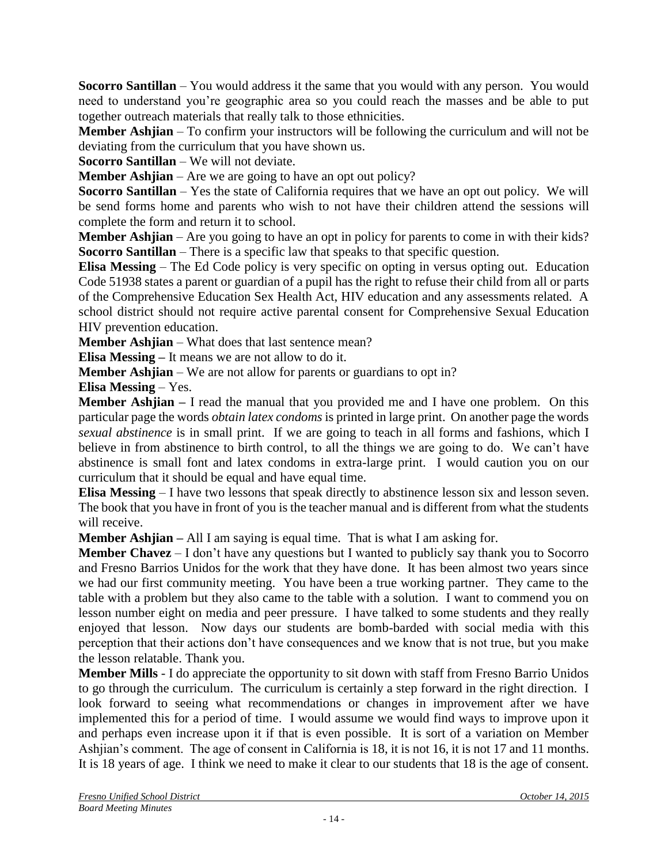**Socorro Santillan** – You would address it the same that you would with any person. You would need to understand you're geographic area so you could reach the masses and be able to put together outreach materials that really talk to those ethnicities.

**Member Ashjian** – To confirm your instructors will be following the curriculum and will not be deviating from the curriculum that you have shown us.

**Socorro Santillan** – We will not deviate.

**Member Ashijan** – Are we are going to have an opt out policy?

**Socorro Santillan** – Yes the state of California requires that we have an opt out policy. We will be send forms home and parents who wish to not have their children attend the sessions will complete the form and return it to school.

**Member Ashjian** – Are you going to have an opt in policy for parents to come in with their kids? **Socorro Santillan** – There is a specific law that speaks to that specific question.

**Elisa Messing** – The Ed Code policy is very specific on opting in versus opting out. Education Code 51938 states a parent or guardian of a pupil has the right to refuse their child from all or parts of the Comprehensive Education Sex Health Act, HIV education and any assessments related. A school district should not require active parental consent for Comprehensive Sexual Education HIV prevention education.

**Member Ashjian** – What does that last sentence mean?

**Elisa Messing –** It means we are not allow to do it.

**Member Ashjian** – We are not allow for parents or guardians to opt in?

**Elisa Messing** – Yes.

**Member Ashjian –** I read the manual that you provided me and I have one problem. On this particular page the words *obtain latex condoms* is printed in large print. On another page the words *sexual abstinence* is in small print. If we are going to teach in all forms and fashions, which I believe in from abstinence to birth control, to all the things we are going to do. We can't have abstinence is small font and latex condoms in extra-large print. I would caution you on our curriculum that it should be equal and have equal time.

**Elisa Messing** – I have two lessons that speak directly to abstinence lesson six and lesson seven. The book that you have in front of you is the teacher manual and is different from what the students will receive.

**Member Ashjian –** All I am saying is equal time. That is what I am asking for.

**Member Chavez** – I don't have any questions but I wanted to publicly say thank you to Socorro and Fresno Barrios Unidos for the work that they have done. It has been almost two years since we had our first community meeting. You have been a true working partner. They came to the table with a problem but they also came to the table with a solution. I want to commend you on lesson number eight on media and peer pressure. I have talked to some students and they really enjoyed that lesson. Now days our students are bomb-barded with social media with this perception that their actions don't have consequences and we know that is not true, but you make the lesson relatable. Thank you.

**Member Mills** - I do appreciate the opportunity to sit down with staff from Fresno Barrio Unidos to go through the curriculum. The curriculum is certainly a step forward in the right direction. I look forward to seeing what recommendations or changes in improvement after we have implemented this for a period of time. I would assume we would find ways to improve upon it and perhaps even increase upon it if that is even possible. It is sort of a variation on Member Ashjian's comment. The age of consent in California is 18, it is not 16, it is not 17 and 11 months. It is 18 years of age. I think we need to make it clear to our students that 18 is the age of consent.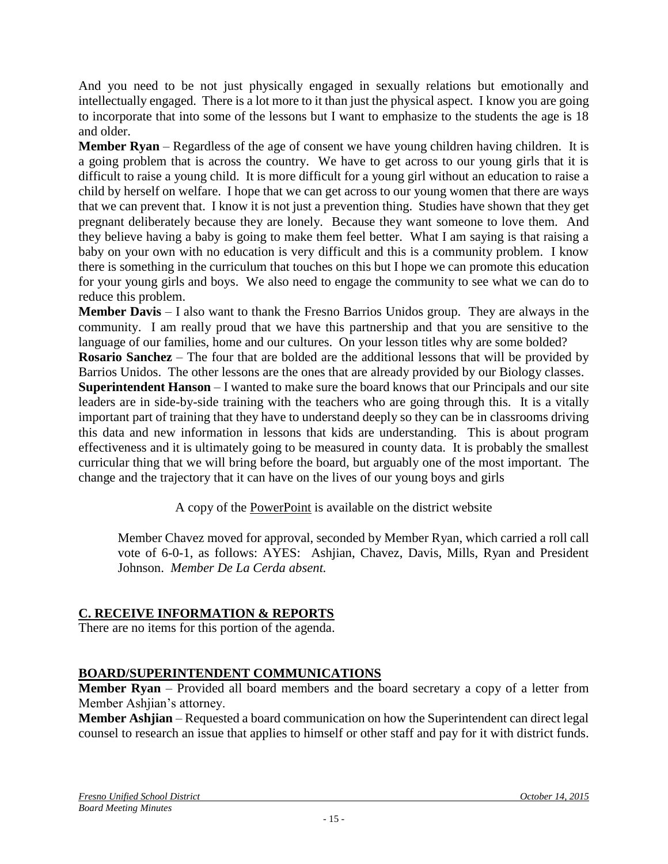And you need to be not just physically engaged in sexually relations but emotionally and intellectually engaged. There is a lot more to it than just the physical aspect. I know you are going to incorporate that into some of the lessons but I want to emphasize to the students the age is 18 and older.

**Member Ryan** – Regardless of the age of consent we have young children having children. It is a going problem that is across the country. We have to get across to our young girls that it is difficult to raise a young child. It is more difficult for a young girl without an education to raise a child by herself on welfare. I hope that we can get across to our young women that there are ways that we can prevent that. I know it is not just a prevention thing. Studies have shown that they get pregnant deliberately because they are lonely. Because they want someone to love them. And they believe having a baby is going to make them feel better. What I am saying is that raising a baby on your own with no education is very difficult and this is a community problem. I know there is something in the curriculum that touches on this but I hope we can promote this education for your young girls and boys. We also need to engage the community to see what we can do to reduce this problem.

**Member Davis** – I also want to thank the Fresno Barrios Unidos group. They are always in the community. I am really proud that we have this partnership and that you are sensitive to the language of our families, home and our cultures. On your lesson titles why are some bolded?

**Rosario Sanchez** – The four that are bolded are the additional lessons that will be provided by Barrios Unidos. The other lessons are the ones that are already provided by our Biology classes.

**Superintendent Hanson** – I wanted to make sure the board knows that our Principals and our site leaders are in side-by-side training with the teachers who are going through this. It is a vitally important part of training that they have to understand deeply so they can be in classrooms driving this data and new information in lessons that kids are understanding. This is about program effectiveness and it is ultimately going to be measured in county data. It is probably the smallest curricular thing that we will bring before the board, but arguably one of the most important. The change and the trajectory that it can have on the lives of our young boys and girls

A copy of the [PowerPoint](file:///C:/Users/lmmolan/AppData/Local/Desktop/BOARD%20DOCUMENTS/Presentations%20for%20Website/B20131211-Board-Presentation-B-12.pdf) is available on the district website

Member Chavez moved for approval, seconded by Member Ryan, which carried a roll call vote of 6-0-1, as follows: AYES: Ashjian, Chavez, Davis, Mills, Ryan and President Johnson. *Member De La Cerda absent.*

## **C. RECEIVE INFORMATION & REPORTS**

There are no items for this portion of the agenda.

## **BOARD/SUPERINTENDENT COMMUNICATIONS**

**Member Ryan** – Provided all board members and the board secretary a copy of a letter from Member Ashjian's attorney.

**Member Ashjian** – Requested a board communication on how the Superintendent can direct legal counsel to research an issue that applies to himself or other staff and pay for it with district funds.